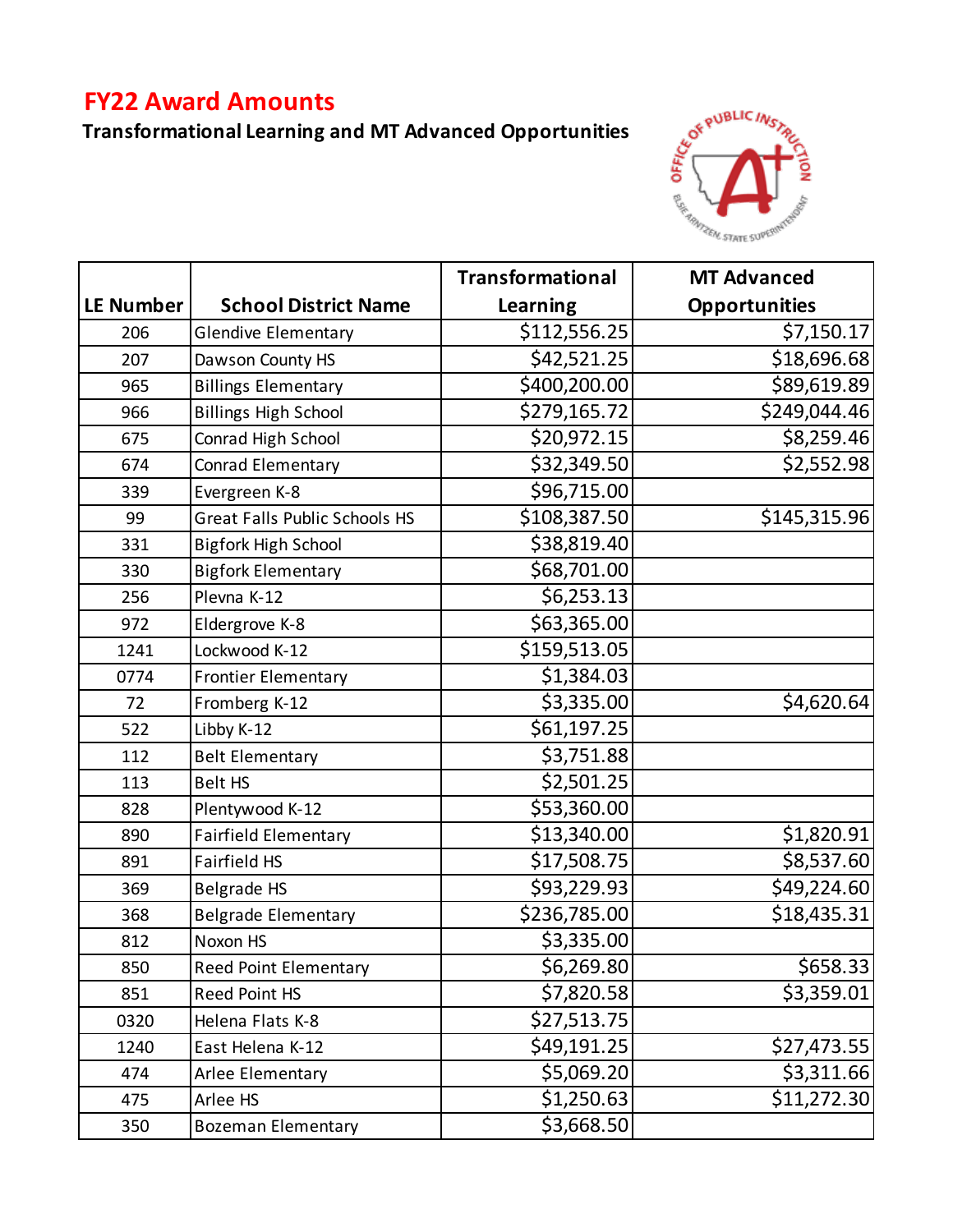## **FY22 Award Amounts**

## **Transformational Learning and MT Advanced Opportunities**



|                  |                                      | <b>Transformational</b> | <b>MT Advanced</b>   |
|------------------|--------------------------------------|-------------------------|----------------------|
| <b>LE Number</b> | <b>School District Name</b>          | <b>Learning</b>         | <b>Opportunities</b> |
| 206              | <b>Glendive Elementary</b>           | \$112,556.25            | \$7,150.17           |
| 207              | Dawson County HS                     | \$42,521.25             | \$18,696.68          |
| 965              | <b>Billings Elementary</b>           | \$400,200.00            | \$89,619.89          |
| 966              | <b>Billings High School</b>          | \$279,165.72            | \$249,044.46         |
| 675              | Conrad High School                   | \$20,972.15             | \$8,259.46           |
| 674              | Conrad Elementary                    | \$32,349.50             | \$2,552.98           |
| 339              | Evergreen K-8                        | \$96,715.00             |                      |
| 99               | <b>Great Falls Public Schools HS</b> | \$108,387.50            | \$145,315.96         |
| 331              | <b>Bigfork High School</b>           | \$38,819.40             |                      |
| 330              | <b>Bigfork Elementary</b>            | \$68,701.00             |                      |
| 256              | Plevna K-12                          | \$6,253.13              |                      |
| 972              | Eldergrove K-8                       | \$63,365.00             |                      |
| 1241             | Lockwood K-12                        | \$159,513.05            |                      |
| 0774             | <b>Frontier Elementary</b>           | \$1,384.03              |                      |
| 72               | Fromberg K-12                        | \$3,335.00              | \$4,620.64           |
| 522              | Libby K-12                           | \$61,197.25             |                      |
| 112              | <b>Belt Elementary</b>               | \$3,751.88              |                      |
| 113              | <b>Belt HS</b>                       | \$2,501.25              |                      |
| 828              | Plentywood K-12                      | \$53,360.00             |                      |
| 890              | <b>Fairfield Elementary</b>          | \$13,340.00             | \$1,820.91           |
| 891              | <b>Fairfield HS</b>                  | \$17,508.75             | \$8,537.60           |
| 369              | <b>Belgrade HS</b>                   | \$93,229.93             | \$49,224.60          |
| 368              | <b>Belgrade Elementary</b>           | \$236,785.00            | \$18,435.31          |
| 812              | Noxon HS                             | \$3,335.00              |                      |
| 850              | <b>Reed Point Elementary</b>         | \$6,269.80              | \$658.33             |
| 851              | <b>Reed Point HS</b>                 | \$7,820.58              | \$3,359.01           |
| 0320             | Helena Flats K-8                     | \$27,513.75             |                      |
| 1240             | East Helena K-12                     | \$49,191.25             | \$27,473.55          |
| 474              | Arlee Elementary                     | \$5,069.20              | \$3,311.66           |
| 475              | Arlee HS                             | \$1,250.63              | \$11,272.30          |
| 350              | <b>Bozeman Elementary</b>            | \$3,668.50              |                      |